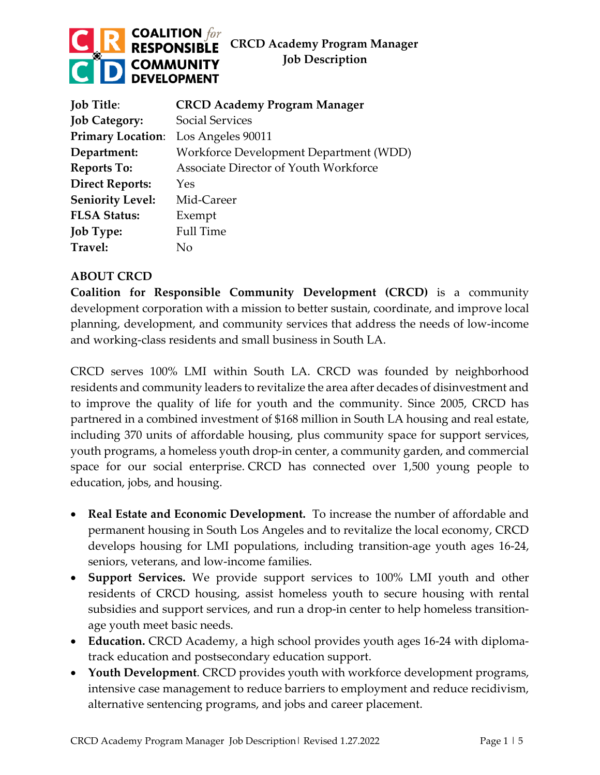### **COALITION** for **CRCD Academy Program Manager RESPONSIBLE Job Description COMMUNITY DEVELOPMENT**

| <b>Job Title:</b>        | <b>CRCD Academy Program Manager</b>    |
|--------------------------|----------------------------------------|
| <b>Job Category:</b>     | <b>Social Services</b>                 |
| <b>Primary Location:</b> | Los Angeles 90011                      |
| Department:              | Workforce Development Department (WDD) |
| <b>Reports To:</b>       | Associate Director of Youth Workforce  |
| <b>Direct Reports:</b>   | Yes                                    |
| <b>Seniority Level:</b>  | Mid-Career                             |
| <b>FLSA Status:</b>      | Exempt                                 |
| <b>Job Type:</b>         | <b>Full Time</b>                       |
| Travel:                  | Nο                                     |

# **ABOUT CRCD**

**Coalition for Responsible Community Development (CRCD)** is a community development corporation with a mission to better sustain, coordinate, and improve local planning, development, and community services that address the needs of low-income and working-class residents and small business in South LA.

CRCD serves 100% LMI within South LA. CRCD was founded by neighborhood residents and community leaders to revitalize the area after decades of disinvestment and to improve the quality of life for youth and the community. Since 2005, CRCD has partnered in a combined investment of \$168 million in South LA housing and real estate, including 370 units of affordable housing, plus community space for support services, youth programs, a homeless youth drop-in center, a community garden, and commercial space for our social enterprise. CRCD has connected over 1,500 young people to education, jobs, and housing.

- **Real Estate and Economic Development.** To increase the number of affordable and permanent housing in South Los Angeles and to revitalize the local economy, CRCD develops housing for LMI populations, including transition-age youth ages 16-24, seniors, veterans, and low-income families.
- **Support Services.** We provide support services to 100% LMI youth and other residents of CRCD housing, assist homeless youth to secure housing with rental subsidies and support services, and run a drop-in center to help homeless transitionage youth meet basic needs.
- **Education.** CRCD Academy, a high school provides youth ages 16-24 with diplomatrack education and postsecondary education support.
- **Youth Development**. CRCD provides youth with workforce development programs, intensive case management to reduce barriers to employment and reduce recidivism, alternative sentencing programs, and jobs and career placement.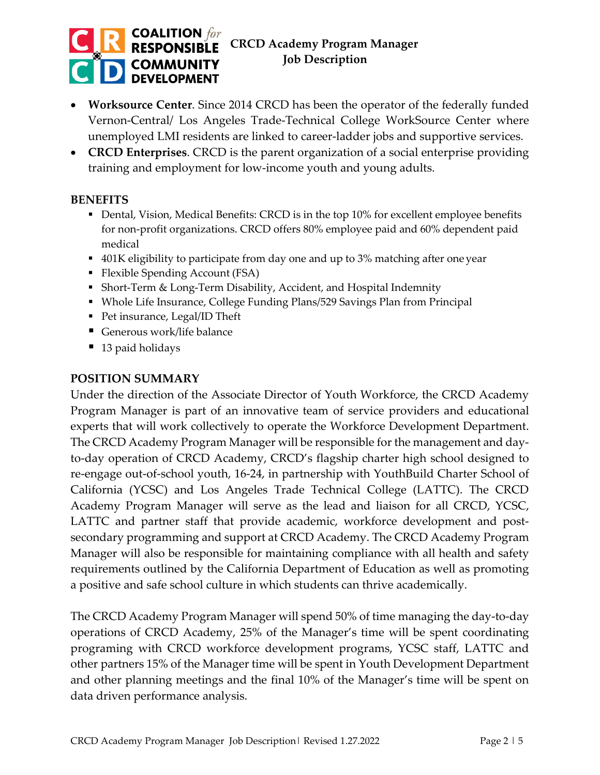#### **COALITION** for **CRCD Academy Program Manager RESPONSIBLE Job Description COMMUNITY DEVELOPMENT**

- **Worksource Center**. Since 2014 CRCD has been the operator of the federally funded Vernon-Central/ Los Angeles Trade-Technical College WorkSource Center where unemployed LMI residents are linked to career-ladder jobs and supportive services.
- **CRCD Enterprises**. CRCD is the parent organization of a social enterprise providing training and employment for low-income youth and young adults.

## **BENEFITS**

- Dental, Vision, Medical Benefits: CRCD is in the top 10% for excellent employee benefits for non-profit organizations. CRCD offers 80% employee paid and 60% dependent paid medical
- 401K eligibility to participate from day one and up to 3% matching after one year
- Flexible Spending Account (FSA)
- Short-Term & Long-Term Disability, Accident, and Hospital Indemnity
- Whole Life Insurance, College Funding Plans/529 Savings Plan from Principal
- Pet insurance, Legal/ID Theft
- Generous work/life balance
- 13 paid holidays

### **POSITION SUMMARY**

Under the direction of the Associate Director of Youth Workforce, the CRCD Academy Program Manager is part of an innovative team of service providers and educational experts that will work collectively to operate the Workforce Development Department. The CRCD Academy Program Manager will be responsible for the management and dayto-day operation of CRCD Academy, CRCD's flagship charter high school designed to re-engage out-of-school youth, 16-24, in partnership with YouthBuild Charter School of California (YCSC) and Los Angeles Trade Technical College (LATTC). The CRCD Academy Program Manager will serve as the lead and liaison for all CRCD, YCSC, LATTC and partner staff that provide academic, workforce development and postsecondary programming and support at CRCD Academy. The CRCD Academy Program Manager will also be responsible for maintaining compliance with all health and safety requirements outlined by the California Department of Education as well as promoting a positive and safe school culture in which students can thrive academically.

The CRCD Academy Program Manager will spend 50% of time managing the day-to-day operations of CRCD Academy, 25% of the Manager's time will be spent coordinating programing with CRCD workforce development programs, YCSC staff, LATTC and other partners 15% of the Manager time will be spent in Youth Development Department and other planning meetings and the final 10% of the Manager's time will be spent on data driven performance analysis.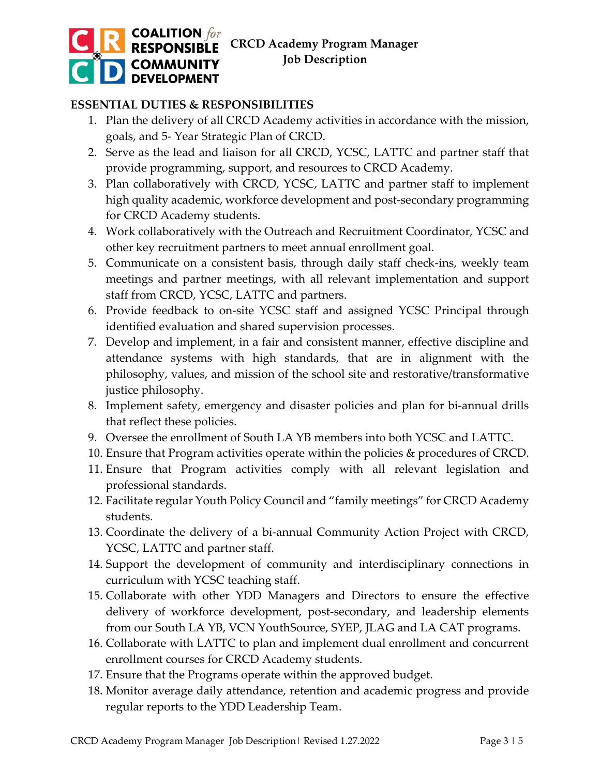

# **ESSENTIAL DUTIES & RESPONSIBILITIES**

- 1. Plan the delivery of all CRCD Academy activities in accordance with the mission, goals, and 5- Year Strategic Plan of CRCD.
- 2. Serve as the lead and liaison for all CRCD, YCSC, LATTC and partner staff that provide programming, support, and resources to CRCD Academy.
- 3. Plan collaboratively with CRCD, YCSC, LATTC and partner staff to implement high quality academic, workforce development and post-secondary programming for CRCD Academy students.
- 4. Work collaboratively with the Outreach and Recruitment Coordinator, YCSC and other key recruitment partners to meet annual enrollment goal.
- 5. Communicate on a consistent basis, through daily staff check-ins, weekly team meetings and partner meetings, with all relevant implementation and support staff from CRCD, YCSC, LATTC and partners.
- 6. Provide feedback to on-site YCSC staff and assigned YCSC Principal through identified evaluation and shared supervision processes.
- 7. Develop and implement, in a fair and consistent manner, effective discipline and attendance systems with high standards, that are in alignment with the philosophy, values, and mission of the school site and restorative/transformative justice philosophy.
- 8. Implement safety, emergency and disaster policies and plan for bi-annual drills that reflect these policies.
- 9. Oversee the enrollment of South LA YB members into both YCSC and LATTC.
- 10. Ensure that Program activities operate within the policies & procedures of CRCD.
- 11. Ensure that Program activities comply with all relevant legislation and professional standards.
- 12. Facilitate regular Youth Policy Council and "family meetings" for CRCD Academy students.
- 13. Coordinate the delivery of a bi-annual Community Action Project with CRCD, YCSC, LATTC and partner staff.
- 14. Support the development of community and interdisciplinary connections in curriculum with YCSC teaching staff.
- 15. Collaborate with other YDD Managers and Directors to ensure the effective delivery of workforce development, post-secondary, and leadership elements from our South LA YB, VCN YouthSource, SYEP, JLAG and LA CAT programs.
- 16. Collaborate with LATTC to plan and implement dual enrollment and concurrent enrollment courses for CRCD Academy students.
- 17. Ensure that the Programs operate within the approved budget.
- 18. Monitor average daily attendance, retention and academic progress and provide regular reports to the YDD Leadership Team.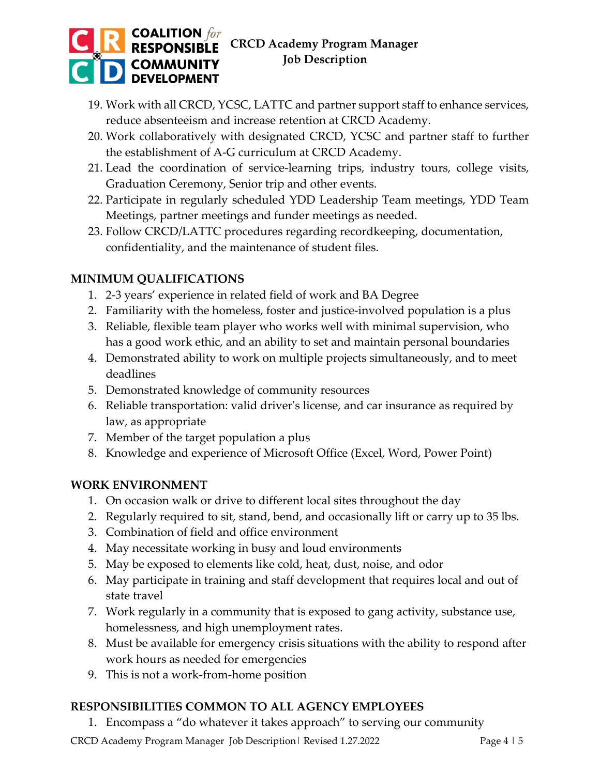### **COALITION** for<br>**RESPONSIBLE CRCD Academy Program Manager Job Description COMMUNITY DEVELOPMENT**

- 19. Work with all CRCD, YCSC, LATTC and partner support staff to enhance services, reduce absenteeism and increase retention at CRCD Academy.
- 20. Work collaboratively with designated CRCD, YCSC and partner staff to further the establishment of A-G curriculum at CRCD Academy.
- 21. Lead the coordination of service-learning trips, industry tours, college visits, Graduation Ceremony, Senior trip and other events.
- 22. Participate in regularly scheduled YDD Leadership Team meetings, YDD Team Meetings, partner meetings and funder meetings as needed.
- 23. Follow CRCD/LATTC procedures regarding recordkeeping, documentation, confidentiality, and the maintenance of student files.

# **MINIMUM QUALIFICATIONS**

- 1. 2-3 years' experience in related field of work and BA Degree
- 2. Familiarity with the homeless, foster and justice-involved population is a plus
- 3. Reliable, flexible team player who works well with minimal supervision, who has a good work ethic, and an ability to set and maintain personal boundaries
- 4. Demonstrated ability to work on multiple projects simultaneously, and to meet deadlines
- 5. Demonstrated knowledge of community resources
- 6. Reliable transportation: valid driver's license, and car insurance as required by law, as appropriate
- 7. Member of the target population a plus
- 8. Knowledge and experience of Microsoft Office (Excel, Word, Power Point)

## **WORK ENVIRONMENT**

- 1. On occasion walk or drive to different local sites throughout the day
- 2. Regularly required to sit, stand, bend, and occasionally lift or carry up to 35 lbs.
- 3. Combination of field and office environment
- 4. May necessitate working in busy and loud environments
- 5. May be exposed to elements like cold, heat, dust, noise, and odor
- 6. May participate in training and staff development that requires local and out of state travel
- 7. Work regularly in a community that is exposed to gang activity, substance use, homelessness, and high unemployment rates.
- 8. Must be available for emergency crisis situations with the ability to respond after work hours as needed for emergencies
- 9. This is not a work-from-home position

# **RESPONSIBILITIES COMMON TO ALL AGENCY EMPLOYEES**

1. Encompass a "do whatever it takes approach" to serving our community